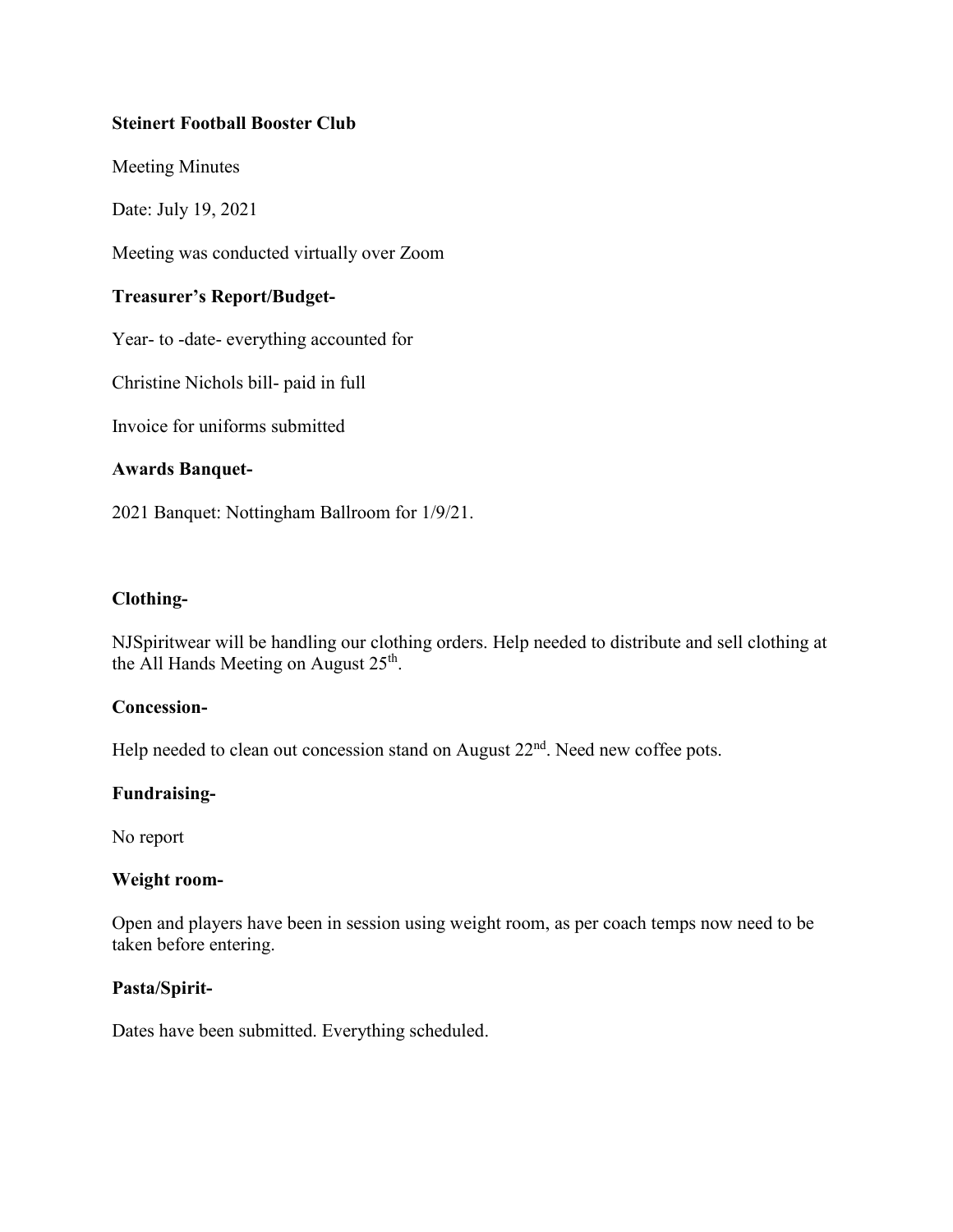# **Steinert Football Booster Club**

Meeting Minutes

Date: July 19, 2021

Meeting was conducted virtually over Zoom

# **Treasurer's Report/Budget-**

Year- to -date- everything accounted for

Christine Nichols bill- paid in full

Invoice for uniforms submitted

### **Awards Banquet-**

2021 Banquet: Nottingham Ballroom for 1/9/21.

### **Clothing-**

NJSpiritwear will be handling our clothing orders. Help needed to distribute and sell clothing at the All Hands Meeting on August  $25<sup>th</sup>$ .

### **Concession-**

Help needed to clean out concession stand on August 22<sup>nd</sup>. Need new coffee pots.

### **Fundraising-**

No report

### **Weight room-**

Open and players have been in session using weight room, as per coach temps now need to be taken before entering.

### **Pasta/Spirit-**

Dates have been submitted. Everything scheduled.